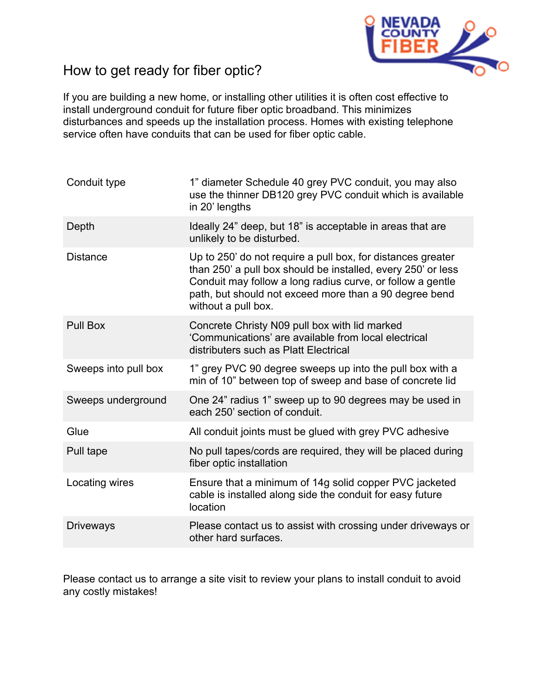

## How to get ready for fiber optic?

If you are building a new home, or installing other utilities it is often cost effective to install underground conduit for future fiber optic broadband. This minimizes disturbances and speeds up the installation process. Homes with existing telephone service often have conduits that can be used for fiber optic cable.

| Conduit type         | 1" diameter Schedule 40 grey PVC conduit, you may also<br>use the thinner DB120 grey PVC conduit which is available<br>in 20' lengths                                                                                                                                      |
|----------------------|----------------------------------------------------------------------------------------------------------------------------------------------------------------------------------------------------------------------------------------------------------------------------|
| Depth                | Ideally 24" deep, but 18" is acceptable in areas that are<br>unlikely to be disturbed.                                                                                                                                                                                     |
| <b>Distance</b>      | Up to 250' do not require a pull box, for distances greater<br>than 250' a pull box should be installed, every 250' or less<br>Conduit may follow a long radius curve, or follow a gentle<br>path, but should not exceed more than a 90 degree bend<br>without a pull box. |
| Pull Box             | Concrete Christy N09 pull box with lid marked<br>'Communications' are available from local electrical<br>distributers such as Platt Electrical                                                                                                                             |
| Sweeps into pull box | 1" grey PVC 90 degree sweeps up into the pull box with a<br>min of 10" between top of sweep and base of concrete lid                                                                                                                                                       |
| Sweeps underground   | One 24" radius 1" sweep up to 90 degrees may be used in<br>each 250' section of conduit.                                                                                                                                                                                   |
| Glue                 | All conduit joints must be glued with grey PVC adhesive                                                                                                                                                                                                                    |
| Pull tape            | No pull tapes/cords are required, they will be placed during<br>fiber optic installation                                                                                                                                                                                   |
| Locating wires       | Ensure that a minimum of 14g solid copper PVC jacketed<br>cable is installed along side the conduit for easy future<br>location                                                                                                                                            |
| <b>Driveways</b>     | Please contact us to assist with crossing under driveways or<br>other hard surfaces.                                                                                                                                                                                       |

Please contact us to arrange a site visit to review your plans to install conduit to avoid any costly mistakes!